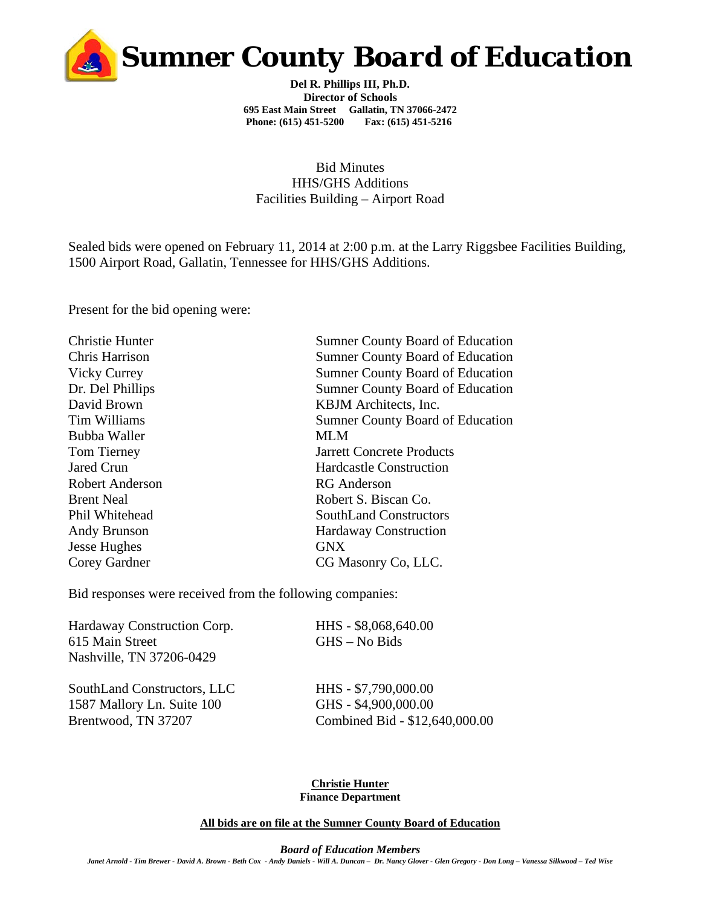

**Del R. Phillips III, Ph.D. Director of Schools 695 East Main Street Gallatin, TN 37066-2472 Phone: (615) 451-5200 Fax: (615) 451-5216** 

Bid Minutes HHS/GHS Additions Facilities Building – Airport Road

Sealed bids were opened on February 11, 2014 at 2:00 p.m. at the Larry Riggsbee Facilities Building, 1500 Airport Road, Gallatin, Tennessee for HHS/GHS Additions.

Present for the bid opening were:

| <b>Christie Hunter</b> | <b>Sumner County Board of Education</b> |
|------------------------|-----------------------------------------|
| Chris Harrison         | <b>Sumner County Board of Education</b> |
| <b>Vicky Currey</b>    | <b>Sumner County Board of Education</b> |
| Dr. Del Phillips       | <b>Sumner County Board of Education</b> |
| David Brown            | KBJM Architects, Inc.                   |
| Tim Williams           | <b>Sumner County Board of Education</b> |
| Bubba Waller           | <b>MLM</b>                              |
| <b>Tom Tierney</b>     | <b>Jarrett Concrete Products</b>        |
| Jared Crun             | <b>Hardcastle Construction</b>          |
| <b>Robert Anderson</b> | <b>RG</b> Anderson                      |
| <b>Brent Neal</b>      | Robert S. Biscan Co.                    |
| Phil Whitehead         | <b>SouthLand Constructors</b>           |
| Andy Brunson           | <b>Hardaway Construction</b>            |
| Jesse Hughes           | <b>GNX</b>                              |
| Corey Gardner          | CG Masonry Co, LLC.                     |
|                        |                                         |

Bid responses were received from the following companies:

Hardaway Construction Corp. HHS - \$8,068,640.00 615 Main Street GHS – No Bids Nashville, TN 37206-0429

SouthLand Constructors, LLC HHS - \$7,790,000.00 1587 Mallory Ln. Suite 100 GHS - \$4,900,000.00

Brentwood, TN 37207 Combined Bid - \$12,640,000.00

## **Christie Hunter Finance Department**

**All bids are on file at the Sumner County Board of Education**